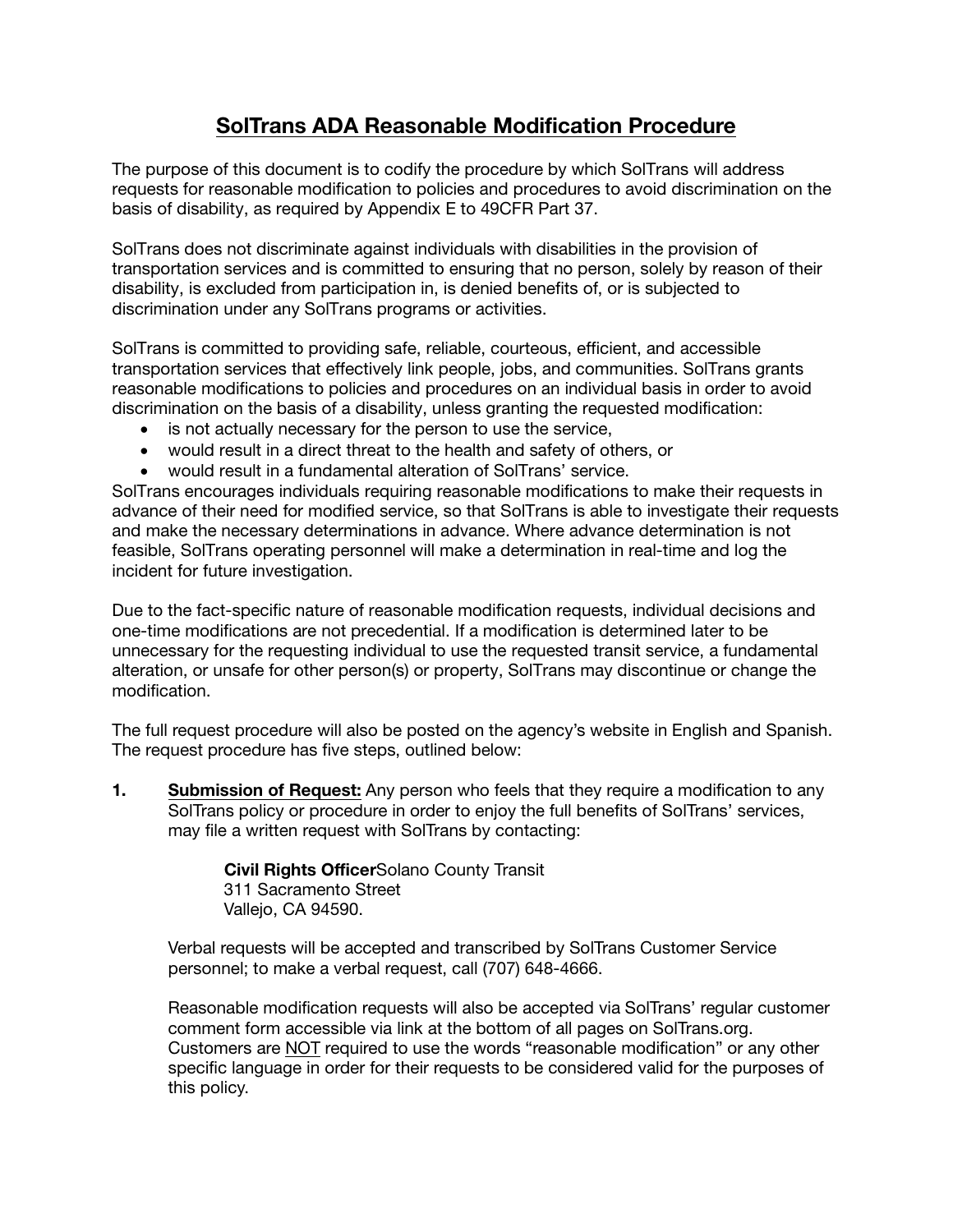## SolTrans ADA Reasonable Modification Procedure

The purpose of this document is to codify the procedure by which SolTrans will address requests for reasonable modification to policies and procedures to avoid discrimination on the basis of disability, as required by Appendix E to 49CFR Part 37.

SolTrans does not discriminate against individuals with disabilities in the provision of transportation services and is committed to ensuring that no person, solely by reason of their disability, is excluded from participation in, is denied benefits of, or is subjected to discrimination under any SolTrans programs or activities.

SolTrans is committed to providing safe, reliable, courteous, efficient, and accessible transportation services that effectively link people, jobs, and communities. SolTrans grants reasonable modifications to policies and procedures on an individual basis in order to avoid discrimination on the basis of a disability, unless granting the requested modification:

- is not actually necessary for the person to use the service,
- would result in a direct threat to the health and safety of others, or
- would result in a fundamental alteration of SolTrans' service.

SolTrans encourages individuals requiring reasonable modifications to make their requests in advance of their need for modified service, so that SolTrans is able to investigate their requests and make the necessary determinations in advance. Where advance determination is not feasible, SolTrans operating personnel will make a determination in real-time and log the incident for future investigation.

Due to the fact-specific nature of reasonable modification requests, individual decisions and one-time modifications are not precedential. If a modification is determined later to be unnecessary for the requesting individual to use the requested transit service, a fundamental alteration, or unsafe for other person(s) or property, SolTrans may discontinue or change the modification.

The full request procedure will also be posted on the agency's website in English and Spanish. The request procedure has five steps, outlined below:

1. Submission of Request: Any person who feels that they require a modification to any SolTrans policy or procedure in order to enjoy the full benefits of SolTrans' services, may file a written request with SolTrans by contacting:

> Civil Rights OfficerSolano County Transit 311 Sacramento Street Vallejo, CA 94590.

Verbal requests will be accepted and transcribed by SolTrans Customer Service personnel; to make a verbal request, call (707) 648-4666.

Reasonable modification requests will also be accepted via SolTrans' regular customer comment form accessible via link at the bottom of all pages on SolTrans.org. Customers are NOT required to use the words "reasonable modification" or any other specific language in order for their requests to be considered valid for the purposes of this policy.